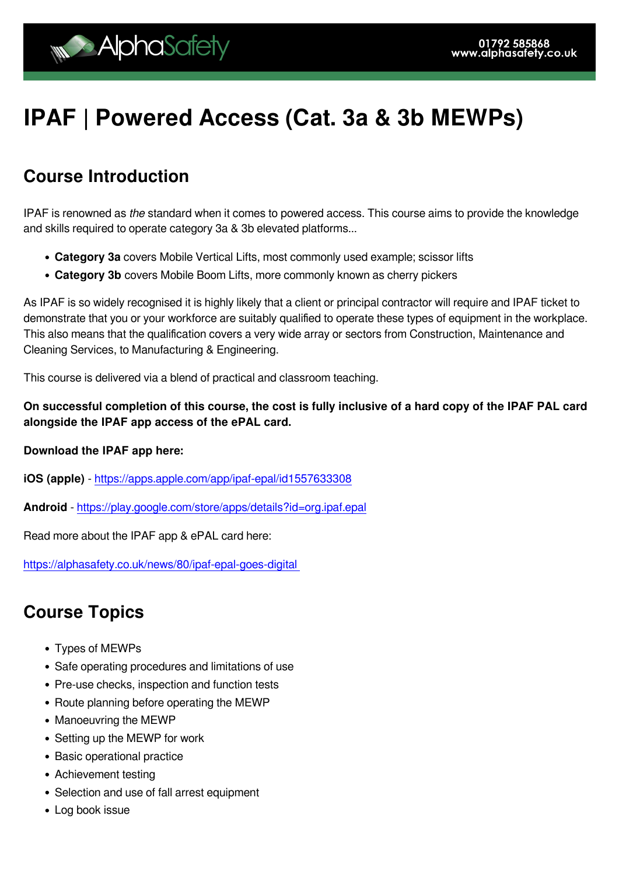# **IPAF | Powered Access (Cat. 3a & 3b MEWPs)**

### **Course Introduction**

IPAF is renowned as the standard when it comes to powered access. This course aims to provide the knowledge and skills required to operate category 3a & 3b elevated platforms...

- **Category 3a** covers Mobile Vertical Lifts, most commonly used example; scissor lifts
- **Category 3b** covers Mobile Boom Lifts, more commonly known as cherry pickers

As IPAF is so widely recognised it is highly likely that a client or principal contractor will require and IPAF ticket to demonstrate that you or your workforce are suitably qualified to operate these types of equipment in the workplace. This also means that the qualification covers a very wide array or sectors from Construction, Maintenance and Cleaning Services, to Manufacturing & Engineering.

This course is delivered via a blend of practical and classroom teaching.

**On successful completion of this course, the cost is fully inclusive of a hard copy of the IPAF PAL card alongside the IPAF app access of the ePAL card.**

#### **Download the IPAF app here:**

**iOS (apple)** - <https://apps.apple.com/app/ipaf-epal/id1557633308>

**Android** -<https://play.google.com/store/apps/details?id=org.ipaf.epal>

Read more about the IPAF app & ePAL card here:

[https://alphasafety.co.uk/news/80/ipaf-epal-goes-digital](https://alphasafety.co.uk/news/80/ipaf-epal-goes-digital ) 

#### **Course Topics**

- Types of MEWPs
- Safe operating procedures and limitations of use
- Pre-use checks, inspection and function tests
- Route planning before operating the MEWP
- Manoeuvring the MEWP
- Setting up the MEWP for work
- Basic operational practice
- Achievement testing
- Selection and use of fall arrest equipment
- Log book issue